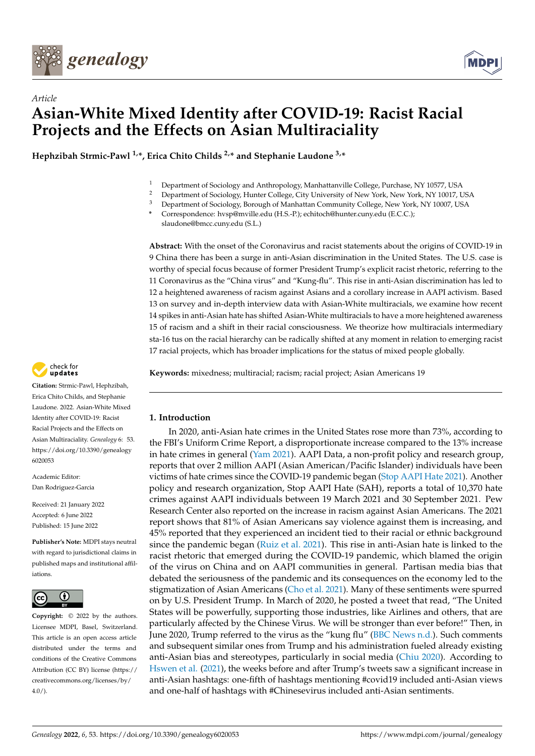



# *Article* **Asian-White Mixed Identity after COVID-19: Racist Racial Projects and the Effects on Asian Multiraciality**

**Hephzibah Strmic-Pawl 1,\*, Erica Chito Childs 2,\* and Stephanie Laudone 3,\***

- <sup>1</sup> Department of Sociology and Anthropology, Manhattanville College, Purchase, NY 10577, USA<br><sup>2</sup> Department of Sociology, Hunter College, City University of New York, New York, NY 10017, I
- <sup>2</sup> Department of Sociology, Hunter College, City University of New York, New York, NY 10017, USA
- <sup>3</sup> Department of Sociology, Borough of Manhattan Community College, New York, NY 10007, USA
- **\*** Correspondence: hvsp@mville.edu (H.S.-P.); echitoch@hunter.cuny.edu (E.C.C.); slaudone@bmcc.cuny.edu (S.L.)

**Abstract:** With the onset of the Coronavirus and racist statements about the origins of COVID-19 in 9 China there has been a surge in anti-Asian discrimination in the United States. The U.S. case is worthy of special focus because of former President Trump's explicit racist rhetoric, referring to the 11 Coronavirus as the "China virus" and "Kung-flu". This rise in anti-Asian discrimination has led to 12 a heightened awareness of racism against Asians and a corollary increase in AAPI activism. Based 13 on survey and in-depth interview data with Asian-White multiracials, we examine how recent 14 spikes in anti-Asian hate has shifted Asian-White multiracials to have a more heightened awareness 15 of racism and a shift in their racial consciousness. We theorize how multiracials intermediary sta-16 tus on the racial hierarchy can be radically shifted at any moment in relation to emerging racist 17 racial projects, which has broader implications for the status of mixed people globally.

**Keywords:** mixedness; multiracial; racism; racial project; Asian Americans 19

## **1. Introduction**

In 2020, anti-Asian hate crimes in the United States rose more than 73%, according to the FBI's Uniform Crime Report, a disproportionate increase compared to the 13% increase in hate crimes in general [\(Yam](#page-15-0) [2021\)](#page-15-0). AAPI Data, a non-profit policy and research group, reports that over 2 million AAPI (Asian American/Pacific Islander) individuals have been victims of hate crimes since the COVID-19 pandemic began [\(Stop AAPI Hate](#page-14-0) [2021\)](#page-14-0). Another policy and research organization, Stop AAPI Hate (SAH), reports a total of 10,370 hate crimes against AAPI individuals between 19 March 2021 and 30 September 2021. Pew Research Center also reported on the increase in racism against Asian Americans. The 2021 report shows that 81% of Asian Americans say violence against them is increasing, and 45% reported that they experienced an incident tied to their racial or ethnic background since the pandemic began [\(Ruiz et al.](#page-14-1) [2021\)](#page-14-1). This rise in anti-Asian hate is linked to the racist rhetoric that emerged during the COVID-19 pandemic, which blamed the origin of the virus on China and on AAPI communities in general. Partisan media bias that debated the seriousness of the pandemic and its consequences on the economy led to the stigmatization of Asian Americans [\(Cho et al.](#page-13-0) [2021\)](#page-13-0). Many of these sentiments were spurred on by U.S. President Trump. In March of 2020, he posted a tweet that read, "The United States will be powerfully, supporting those industries, like Airlines and others, that are particularly affected by the Chinese Virus. We will be stronger than ever before!" Then, in June 2020, Trump referred to the virus as the "kung flu" [\(BBC News](#page-12-0) [n.d.\)](#page-12-0). Such comments and subsequent similar ones from Trump and his administration fueled already existing anti-Asian bias and stereotypes, particularly in social media [\(Chiu](#page-13-1) [2020\)](#page-13-1). According to [Hswen et al.](#page-13-2) [\(2021\)](#page-13-2), the weeks before and after Trump's tweets saw a significant increase in anti-Asian hashtags: one-fifth of hashtags mentioning #covid19 included anti-Asian views and one-half of hashtags with #Chinesevirus included anti-Asian sentiments.



**Citation:** Strmic-Pawl, Hephzibah, Erica Chito Childs, and Stephanie Laudone. 2022. Asian-White Mixed Identity after COVID-19: Racist Racial Projects and the Effects on Asian Multiraciality. *Genealogy* 6: 53. [https://doi.org/10.3390/genealogy](https://doi.org/10.3390/genealogy6020053) [6020053](https://doi.org/10.3390/genealogy6020053)

Academic Editor: Dan Rodriguez-Garcia

Received: 21 January 2022 Accepted: 6 June 2022 Published: 15 June 2022

**Publisher's Note:** MDPI stays neutral with regard to jurisdictional claims in published maps and institutional affiliations.



**Copyright:** © 2022 by the authors. Licensee MDPI, Basel, Switzerland. This article is an open access article distributed under the terms and conditions of the Creative Commons Attribution (CC BY) license [\(https://](https://creativecommons.org/licenses/by/4.0/) [creativecommons.org/licenses/by/](https://creativecommons.org/licenses/by/4.0/)  $4.0/$ ).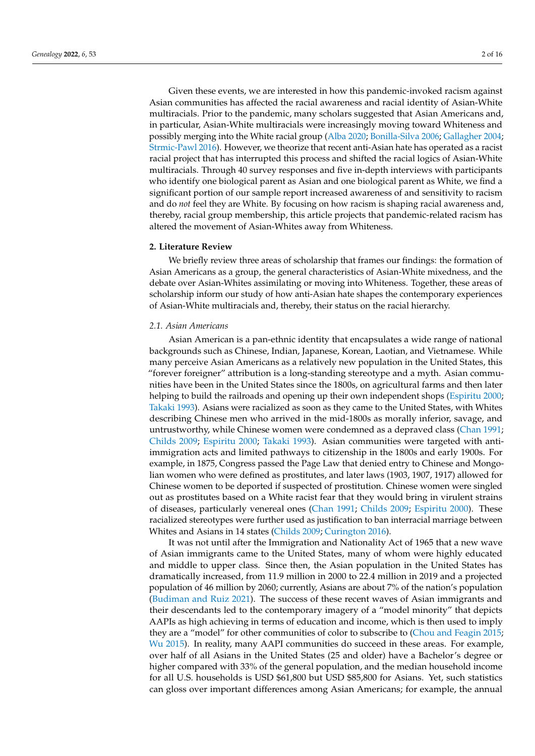Given these events, we are interested in how this pandemic-invoked racism against Asian communities has affected the racial awareness and racial identity of Asian-White multiracials. Prior to the pandemic, many scholars suggested that Asian Americans and, in particular, Asian-White multiracials were increasingly moving toward Whiteness and possibly merging into the White racial group [\(Alba](#page-12-1) [2020;](#page-12-1) [Bonilla-Silva](#page-12-2) [2006;](#page-12-2) [Gallagher](#page-13-3) [2004;](#page-13-3) [Strmic-Pawl](#page-14-2) [2016\)](#page-14-2). However, we theorize that recent anti-Asian hate has operated as a racist racial project that has interrupted this process and shifted the racial logics of Asian-White multiracials. Through 40 survey responses and five in-depth interviews with participants who identify one biological parent as Asian and one biological parent as White, we find a significant portion of our sample report increased awareness of and sensitivity to racism and do *not* feel they are White. By focusing on how racism is shaping racial awareness and, thereby, racial group membership, this article projects that pandemic-related racism has altered the movement of Asian-Whites away from Whiteness.

#### **2. Literature Review**

We briefly review three areas of scholarship that frames our findings: the formation of Asian Americans as a group, the general characteristics of Asian-White mixedness, and the debate over Asian-Whites assimilating or moving into Whiteness. Together, these areas of scholarship inform our study of how anti-Asian hate shapes the contemporary experiences of Asian-White multiracials and, thereby, their status on the racial hierarchy.

## *2.1. Asian Americans*

Asian American is a pan-ethnic identity that encapsulates a wide range of national backgrounds such as Chinese, Indian, Japanese, Korean, Laotian, and Vietnamese. While many perceive Asian Americans as a relatively new population in the United States, this "forever foreigner" attribution is a long-standing stereotype and a myth. Asian communities have been in the United States since the 1800s, on agricultural farms and then later helping to build the railroads and opening up their own independent shops [\(Espiritu](#page-13-4) [2000;](#page-13-4) [Takaki](#page-14-3) [1993\)](#page-14-3). Asians were racialized as soon as they came to the United States, with Whites describing Chinese men who arrived in the mid-1800s as morally inferior, savage, and untrustworthy, while Chinese women were condemned as a depraved class [\(Chan](#page-13-5) [1991;](#page-13-5) [Childs](#page-13-6) [2009;](#page-13-6) [Espiritu](#page-13-4) [2000;](#page-13-4) [Takaki](#page-14-3) [1993\)](#page-14-3). Asian communities were targeted with antiimmigration acts and limited pathways to citizenship in the 1800s and early 1900s. For example, in 1875, Congress passed the Page Law that denied entry to Chinese and Mongolian women who were defined as prostitutes, and later laws (1903, 1907, 1917) allowed for Chinese women to be deported if suspected of prostitution. Chinese women were singled out as prostitutes based on a White racist fear that they would bring in virulent strains of diseases, particularly venereal ones [\(Chan](#page-13-5) [1991;](#page-13-5) [Childs](#page-13-6) [2009;](#page-13-6) [Espiritu](#page-13-4) [2000\)](#page-13-4). These racialized stereotypes were further used as justification to ban interracial marriage between Whites and Asians in 14 states [\(Childs](#page-13-6) [2009;](#page-13-6) [Curington](#page-13-7) [2016\)](#page-13-7).

It was not until after the Immigration and Nationality Act of 1965 that a new wave of Asian immigrants came to the United States, many of whom were highly educated and middle to upper class. Since then, the Asian population in the United States has dramatically increased, from 11.9 million in 2000 to 22.4 million in 2019 and a projected population of 46 million by 2060; currently, Asians are about 7% of the nation's population [\(Budiman and Ruiz](#page-12-3) [2021\)](#page-12-3). The success of these recent waves of Asian immigrants and their descendants led to the contemporary imagery of a "model minority" that depicts AAPIs as high achieving in terms of education and income, which is then used to imply they are a "model" for other communities of color to subscribe to [\(Chou and Feagin](#page-13-8) [2015;](#page-13-8) [Wu](#page-15-1) [2015\)](#page-15-1). In reality, many AAPI communities do succeed in these areas. For example, over half of all Asians in the United States (25 and older) have a Bachelor's degree or higher compared with 33% of the general population, and the median household income for all U.S. households is USD \$61,800 but USD \$85,800 for Asians. Yet, such statistics can gloss over important differences among Asian Americans; for example, the annual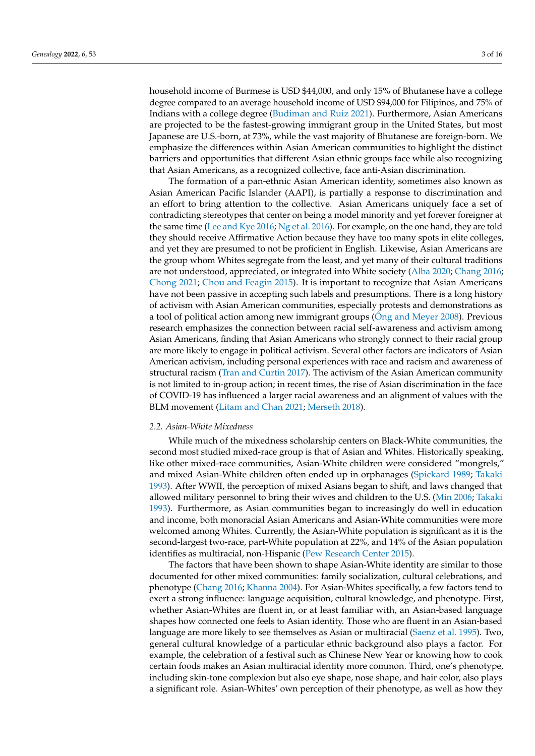household income of Burmese is USD \$44,000, and only 15% of Bhutanese have a college degree compared to an average household income of USD \$94,000 for Filipinos, and 75% of Indians with a college degree [\(Budiman and Ruiz](#page-12-3) [2021\)](#page-12-3). Furthermore, Asian Americans are projected to be the fastest-growing immigrant group in the United States, but most Japanese are U.S.-born, at 73%, while the vast majority of Bhutanese are foreign-born. We emphasize the differences within Asian American communities to highlight the distinct barriers and opportunities that different Asian ethnic groups face while also recognizing that Asian Americans, as a recognized collective, face anti-Asian discrimination.

The formation of a pan-ethnic Asian American identity, sometimes also known as Asian American Pacific Islander (AAPI), is partially a response to discrimination and an effort to bring attention to the collective. Asian Americans uniquely face a set of contradicting stereotypes that center on being a model minority and yet forever foreigner at the same time [\(Lee and Kye](#page-14-4) [2016;](#page-14-4) [Ng et al.](#page-14-5) [2016\)](#page-14-5). For example, on the one hand, they are told they should receive Affirmative Action because they have too many spots in elite colleges, and yet they are presumed to not be proficient in English. Likewise, Asian Americans are the group whom Whites segregate from the least, and yet many of their cultural traditions are not understood, appreciated, or integrated into White society [\(Alba](#page-12-1) [2020;](#page-12-1) [Chang](#page-13-9) [2016;](#page-13-9) [Chong](#page-13-10) [2021;](#page-13-10) [Chou and Feagin](#page-13-8) [2015\)](#page-13-8). It is important to recognize that Asian Americans have not been passive in accepting such labels and presumptions. There is a long history of activism with Asian American communities, especially protests and demonstrations as a tool of political action among new immigrant groups (Ô[ng and Meyer](#page-14-6) [2008\)](#page-14-6). Previous research emphasizes the connection between racial self-awareness and activism among Asian Americans, finding that Asian Americans who strongly connect to their racial group are more likely to engage in political activism. Several other factors are indicators of Asian American activism, including personal experiences with race and racism and awareness of structural racism [\(Tran and Curtin](#page-14-7) [2017\)](#page-14-7). The activism of the Asian American community is not limited to in-group action; in recent times, the rise of Asian discrimination in the face of COVID-19 has influenced a larger racial awareness and an alignment of values with the BLM movement [\(Litam and Chan](#page-14-8) [2021;](#page-14-8) [Merseth](#page-14-9) [2018\)](#page-14-9).

#### *2.2. Asian-White Mixedness*

While much of the mixedness scholarship centers on Black-White communities, the second most studied mixed-race group is that of Asian and Whites. Historically speaking, like other mixed-race communities, Asian-White children were considered "mongrels," and mixed Asian-White children often ended up in orphanages [\(Spickard](#page-14-10) [1989;](#page-14-10) [Takaki](#page-14-3) [1993\)](#page-14-3). After WWII, the perception of mixed Asians began to shift, and laws changed that allowed military personnel to bring their wives and children to the U.S. [\(Min](#page-14-11) [2006;](#page-14-11) [Takaki](#page-14-3) [1993\)](#page-14-3). Furthermore, as Asian communities began to increasingly do well in education and income, both monoracial Asian Americans and Asian-White communities were more welcomed among Whites. Currently, the Asian-White population is significant as it is the second-largest two-race, part-White population at 22%, and 14% of the Asian population identifies as multiracial, non-Hispanic [\(Pew Research Center](#page-14-12) [2015\)](#page-14-12).

The factors that have been shown to shape Asian-White identity are similar to those documented for other mixed communities: family socialization, cultural celebrations, and phenotype [\(Chang](#page-13-9) [2016;](#page-13-9) [Khanna](#page-13-11) [2004\)](#page-13-11). For Asian-Whites specifically, a few factors tend to exert a strong influence: language acquisition, cultural knowledge, and phenotype. First, whether Asian-Whites are fluent in, or at least familiar with, an Asian-based language shapes how connected one feels to Asian identity. Those who are fluent in an Asian-based language are more likely to see themselves as Asian or multiracial [\(Saenz et al.](#page-14-13) [1995\)](#page-14-13). Two, general cultural knowledge of a particular ethnic background also plays a factor. For example, the celebration of a festival such as Chinese New Year or knowing how to cook certain foods makes an Asian multiracial identity more common. Third, one's phenotype, including skin-tone complexion but also eye shape, nose shape, and hair color, also plays a significant role. Asian-Whites' own perception of their phenotype, as well as how they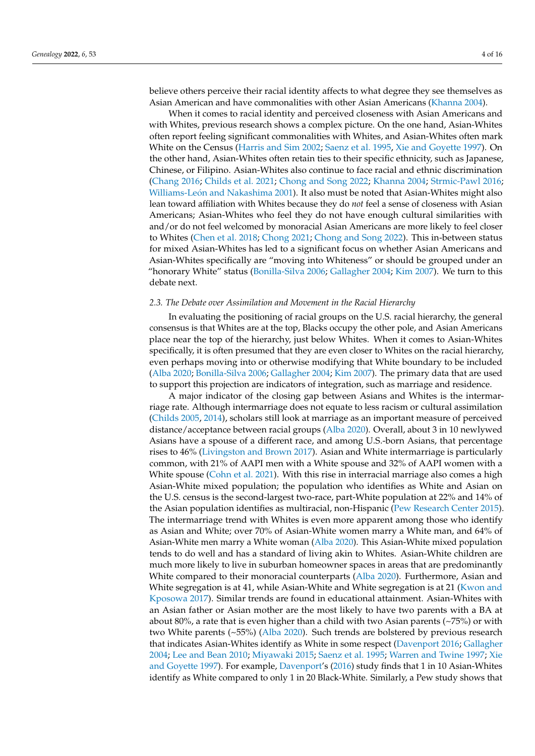believe others perceive their racial identity affects to what degree they see themselves as Asian American and have commonalities with other Asian Americans [\(Khanna](#page-13-11) [2004\)](#page-13-11).

When it comes to racial identity and perceived closeness with Asian Americans and with Whites, previous research shows a complex picture. On the one hand, Asian-Whites often report feeling significant commonalities with Whites, and Asian-Whites often mark White on the Census [\(Harris and Sim](#page-13-12) [2002;](#page-13-12) [Saenz et al.](#page-14-13) [1995,](#page-14-13) [Xie and Goyette](#page-15-2) [1997\)](#page-15-2). On the other hand, Asian-Whites often retain ties to their specific ethnicity, such as Japanese, Chinese, or Filipino. Asian-Whites also continue to face racial and ethnic discrimination [\(Chang](#page-13-9) [2016;](#page-13-9) [Childs et al.](#page-13-13) [2021;](#page-13-13) [Chong and Song](#page-13-14) [2022;](#page-13-14) [Khanna](#page-13-11) [2004;](#page-13-11) [Strmic-Pawl](#page-14-2) [2016;](#page-14-2) Williams-Leó[n and Nakashima](#page-15-3) [2001\)](#page-15-3). It also must be noted that Asian-Whites might also lean toward affiliation with Whites because they do *not* feel a sense of closeness with Asian Americans; Asian-Whites who feel they do not have enough cultural similarities with and/or do not feel welcomed by monoracial Asian Americans are more likely to feel closer to Whites [\(Chen et al.](#page-13-15) [2018;](#page-13-15) [Chong](#page-13-10) [2021;](#page-13-10) [Chong and Song](#page-13-14) [2022\)](#page-13-14). This in-between status for mixed Asian-Whites has led to a significant focus on whether Asian Americans and Asian-Whites specifically are "moving into Whiteness" or should be grouped under an "honorary White" status [\(Bonilla-Silva](#page-12-2) [2006;](#page-12-2) [Gallagher](#page-13-3) [2004;](#page-13-3) [Kim](#page-13-16) [2007\)](#page-13-16). We turn to this debate next.

#### *2.3. The Debate over Assimilation and Movement in the Racial Hierarchy*

In evaluating the positioning of racial groups on the U.S. racial hierarchy, the general consensus is that Whites are at the top, Blacks occupy the other pole, and Asian Americans place near the top of the hierarchy, just below Whites. When it comes to Asian-Whites specifically, it is often presumed that they are even closer to Whites on the racial hierarchy, even perhaps moving into or otherwise modifying that White boundary to be included [\(Alba](#page-12-1) [2020;](#page-12-1) [Bonilla-Silva](#page-12-2) [2006;](#page-12-2) [Gallagher](#page-13-3) [2004;](#page-13-3) [Kim](#page-13-16) [2007\)](#page-13-16). The primary data that are used to support this projection are indicators of integration, such as marriage and residence.

A major indicator of the closing gap between Asians and Whites is the intermarriage rate. Although intermarriage does not equate to less racism or cultural assimilation [\(Childs](#page-13-17) [2005,](#page-13-17) [2014\)](#page-13-18), scholars still look at marriage as an important measure of perceived distance/acceptance between racial groups [\(Alba](#page-12-1) [2020\)](#page-12-1). Overall, about 3 in 10 newlywed Asians have a spouse of a different race, and among U.S.-born Asians, that percentage rises to 46% [\(Livingston and Brown](#page-14-14) [2017\)](#page-14-14). Asian and White intermarriage is particularly common, with 21% of AAPI men with a White spouse and 32% of AAPI women with a White spouse [\(Cohn et al.](#page-13-19) [2021\)](#page-13-19). With this rise in interracial marriage also comes a high Asian-White mixed population; the population who identifies as White and Asian on the U.S. census is the second-largest two-race, part-White population at 22% and 14% of the Asian population identifies as multiracial, non-Hispanic [\(Pew Research Center](#page-14-12) [2015\)](#page-14-12). The intermarriage trend with Whites is even more apparent among those who identify as Asian and White; over 70% of Asian-White women marry a White man, and 64% of Asian-White men marry a White woman [\(Alba](#page-12-1) [2020\)](#page-12-1). This Asian-White mixed population tends to do well and has a standard of living akin to Whites. Asian-White children are much more likely to live in suburban homeowner spaces in areas that are predominantly White compared to their monoracial counterparts [\(Alba](#page-12-1) [2020\)](#page-12-1). Furthermore, Asian and White segregation is at 41, while Asian-White and White segregation is at 21 [\(Kwon and](#page-14-15) [Kposowa](#page-14-15) [2017\)](#page-14-15). Similar trends are found in educational attainment. Asian-Whites with an Asian father or Asian mother are the most likely to have two parents with a BA at about 80%, a rate that is even higher than a child with two Asian parents (~75%) or with two White parents (~55%) [\(Alba](#page-12-1) [2020\)](#page-12-1). Such trends are bolstered by previous research that indicates Asian-Whites identify as White in some respect [\(Davenport](#page-13-20) [2016;](#page-13-20) [Gallagher](#page-13-3) [2004;](#page-13-3) [Lee and Bean](#page-14-16) [2010;](#page-14-16) [Miyawaki](#page-14-17) [2015;](#page-14-17) [Saenz et al.](#page-14-13) [1995;](#page-14-13) [Warren and Twine](#page-14-18) [1997;](#page-14-18) [Xie](#page-15-2) [and Goyette](#page-15-2) [1997\)](#page-15-2). For example, [Davenport'](#page-13-20)s [\(2016\)](#page-13-20) study finds that 1 in 10 Asian-Whites identify as White compared to only 1 in 20 Black-White. Similarly, a Pew study shows that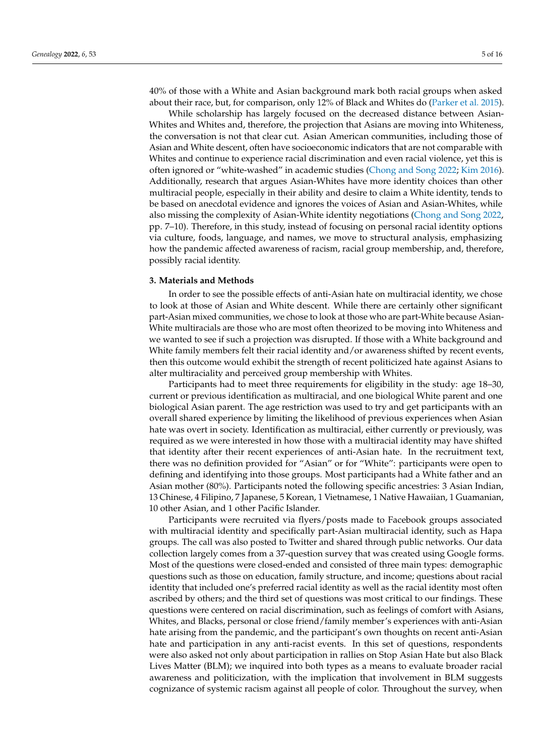40% of those with a White and Asian background mark both racial groups when asked about their race, but, for comparison, only 12% of Black and Whites do [\(Parker et al.](#page-14-19) [2015\)](#page-14-19).

While scholarship has largely focused on the decreased distance between Asian-Whites and Whites and, therefore, the projection that Asians are moving into Whiteness, the conversation is not that clear cut. Asian American communities, including those of Asian and White descent, often have socioeconomic indicators that are not comparable with Whites and continue to experience racial discrimination and even racial violence, yet this is often ignored or "white-washed" in academic studies [\(Chong and Song](#page-13-14) [2022;](#page-13-14) [Kim](#page-14-20) [2016\)](#page-14-20). Additionally, research that argues Asian-Whites have more identity choices than other multiracial people, especially in their ability and desire to claim a White identity, tends to be based on anecdotal evidence and ignores the voices of Asian and Asian-Whites, while also missing the complexity of Asian-White identity negotiations [\(Chong and Song](#page-13-14) [2022,](#page-13-14) pp. 7–10). Therefore, in this study, instead of focusing on personal racial identity options via culture, foods, language, and names, we move to structural analysis, emphasizing how the pandemic affected awareness of racism, racial group membership, and, therefore, possibly racial identity.

## **3. Materials and Methods**

In order to see the possible effects of anti-Asian hate on multiracial identity, we chose to look at those of Asian and White descent. While there are certainly other significant part-Asian mixed communities, we chose to look at those who are part-White because Asian-White multiracials are those who are most often theorized to be moving into Whiteness and we wanted to see if such a projection was disrupted. If those with a White background and White family members felt their racial identity and/or awareness shifted by recent events, then this outcome would exhibit the strength of recent politicized hate against Asians to alter multiraciality and perceived group membership with Whites.

Participants had to meet three requirements for eligibility in the study: age 18–30, current or previous identification as multiracial, and one biological White parent and one biological Asian parent. The age restriction was used to try and get participants with an overall shared experience by limiting the likelihood of previous experiences when Asian hate was overt in society. Identification as multiracial, either currently or previously, was required as we were interested in how those with a multiracial identity may have shifted that identity after their recent experiences of anti-Asian hate. In the recruitment text, there was no definition provided for "Asian" or for "White": participants were open to defining and identifying into those groups. Most participants had a White father and an Asian mother (80%). Participants noted the following specific ancestries: 3 Asian Indian, 13 Chinese, 4 Filipino, 7 Japanese, 5 Korean, 1 Vietnamese, 1 Native Hawaiian, 1 Guamanian, 10 other Asian, and 1 other Pacific Islander.

Participants were recruited via flyers/posts made to Facebook groups associated with multiracial identity and specifically part-Asian multiracial identity, such as Hapa groups. The call was also posted to Twitter and shared through public networks. Our data collection largely comes from a 37-question survey that was created using Google forms. Most of the questions were closed-ended and consisted of three main types: demographic questions such as those on education, family structure, and income; questions about racial identity that included one's preferred racial identity as well as the racial identity most often ascribed by others; and the third set of questions was most critical to our findings. These questions were centered on racial discrimination, such as feelings of comfort with Asians, Whites, and Blacks, personal or close friend/family member's experiences with anti-Asian hate arising from the pandemic, and the participant's own thoughts on recent anti-Asian hate and participation in any anti-racist events. In this set of questions, respondents were also asked not only about participation in rallies on Stop Asian Hate but also Black Lives Matter (BLM); we inquired into both types as a means to evaluate broader racial awareness and politicization, with the implication that involvement in BLM suggests cognizance of systemic racism against all people of color. Throughout the survey, when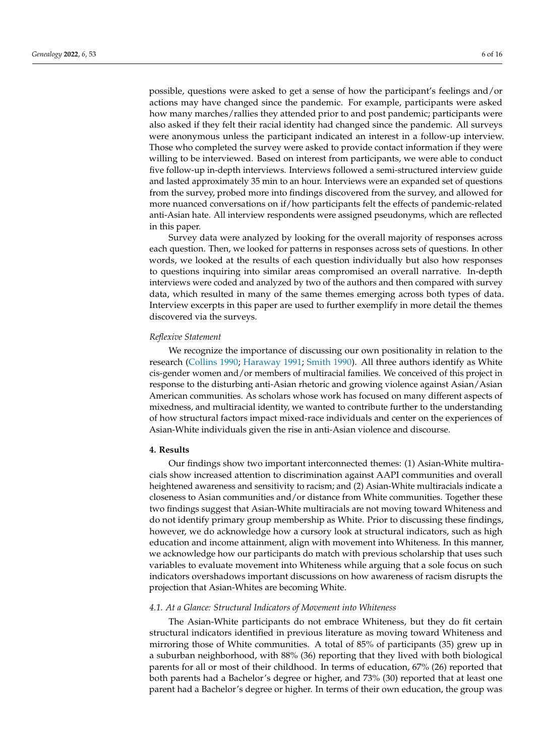possible, questions were asked to get a sense of how the participant's feelings and/or actions may have changed since the pandemic. For example, participants were asked how many marches/rallies they attended prior to and post pandemic; participants were also asked if they felt their racial identity had changed since the pandemic. All surveys were anonymous unless the participant indicated an interest in a follow-up interview. Those who completed the survey were asked to provide contact information if they were willing to be interviewed. Based on interest from participants, we were able to conduct five follow-up in-depth interviews. Interviews followed a semi-structured interview guide and lasted approximately 35 min to an hour. Interviews were an expanded set of questions from the survey, probed more into findings discovered from the survey, and allowed for more nuanced conversations on if/how participants felt the effects of pandemic-related anti-Asian hate. All interview respondents were assigned pseudonyms, which are reflected in this paper.

Survey data were analyzed by looking for the overall majority of responses across each question. Then, we looked for patterns in responses across sets of questions. In other words, we looked at the results of each question individually but also how responses to questions inquiring into similar areas compromised an overall narrative. In-depth interviews were coded and analyzed by two of the authors and then compared with survey data, which resulted in many of the same themes emerging across both types of data. Interview excerpts in this paper are used to further exemplify in more detail the themes discovered via the surveys.

#### *Reflexive Statement*

We recognize the importance of discussing our own positionality in relation to the research [\(Collins](#page-13-21) [1990;](#page-13-21) [Haraway](#page-13-22) [1991;](#page-13-22) [Smith](#page-14-21) [1990\)](#page-14-21). All three authors identify as White cis-gender women and/or members of multiracial families. We conceived of this project in response to the disturbing anti-Asian rhetoric and growing violence against Asian/Asian American communities. As scholars whose work has focused on many different aspects of mixedness, and multiracial identity, we wanted to contribute further to the understanding of how structural factors impact mixed-race individuals and center on the experiences of Asian-White individuals given the rise in anti-Asian violence and discourse.

## **4. Results**

Our findings show two important interconnected themes: (1) Asian-White multiracials show increased attention to discrimination against AAPI communities and overall heightened awareness and sensitivity to racism; and (2) Asian-White multiracials indicate a closeness to Asian communities and/or distance from White communities. Together these two findings suggest that Asian-White multiracials are not moving toward Whiteness and do not identify primary group membership as White. Prior to discussing these findings, however, we do acknowledge how a cursory look at structural indicators, such as high education and income attainment, align with movement into Whiteness. In this manner, we acknowledge how our participants do match with previous scholarship that uses such variables to evaluate movement into Whiteness while arguing that a sole focus on such indicators overshadows important discussions on how awareness of racism disrupts the projection that Asian-Whites are becoming White.

#### *4.1. At a Glance: Structural Indicators of Movement into Whiteness*

The Asian-White participants do not embrace Whiteness, but they do fit certain structural indicators identified in previous literature as moving toward Whiteness and mirroring those of White communities. A total of 85% of participants (35) grew up in a suburban neighborhood, with 88% (36) reporting that they lived with both biological parents for all or most of their childhood. In terms of education, 67% (26) reported that both parents had a Bachelor's degree or higher, and 73% (30) reported that at least one parent had a Bachelor's degree or higher. In terms of their own education, the group was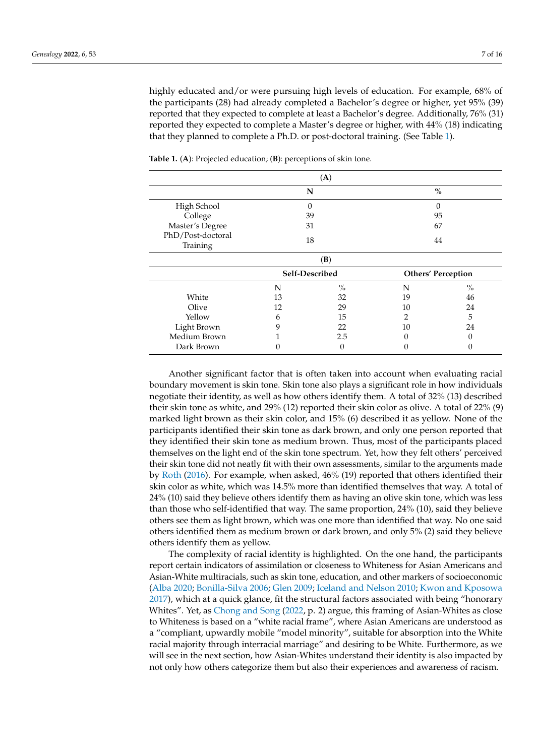highly educated and/or were pursuing high levels of education. For example, 68% of the participants (28) had already completed a Bachelor's degree or higher, yet 95% (39) reported that they expected to complete at least a Bachelor's degree. Additionally, 76% (31) reported they expected to complete a Master's degree or higher, with 44% (18) indicating that they planned to complete a Ph.D. or post-doctoral training. (See Table [1\)](#page-6-0).

|                               |                | (A)           |                           |               |
|-------------------------------|----------------|---------------|---------------------------|---------------|
|                               | N              |               | $\%$                      |               |
| High School                   | 0              |               | 0                         |               |
| College                       | 39             |               | 95                        |               |
| Master's Degree               | 31             |               | 67                        |               |
| PhD/Post-doctoral<br>Training | 18             |               | 44                        |               |
|                               |                | (B)           |                           |               |
|                               | Self-Described |               | <b>Others' Perception</b> |               |
|                               | N              | $\frac{0}{0}$ | N                         | $\frac{0}{0}$ |
| White                         | 13             | 32            | 19                        | 46            |
| Olive                         | 12             | 29            | 10                        | 24            |
| Yellow                        | 6              | 15            | 2                         | 5             |
| Light Brown                   | 9              | 22            | 10                        | 24            |
| Medium Brown                  |                | 2.5           |                           |               |
| Dark Brown                    |                | 0             |                           |               |

<span id="page-6-0"></span>**Table 1.** (**A**): Projected education; (**B**): perceptions of skin tone.

Another significant factor that is often taken into account when evaluating racial boundary movement is skin tone. Skin tone also plays a significant role in how individuals negotiate their identity, as well as how others identify them. A total of 32% (13) described their skin tone as white, and 29% (12) reported their skin color as olive. A total of 22% (9) marked light brown as their skin color, and 15% (6) described it as yellow. None of the participants identified their skin tone as dark brown, and only one person reported that they identified their skin tone as medium brown. Thus, most of the participants placed themselves on the light end of the skin tone spectrum. Yet, how they felt others' perceived their skin tone did not neatly fit with their own assessments, similar to the arguments made by [Roth](#page-14-22) [\(2016\)](#page-14-22). For example, when asked, 46% (19) reported that others identified their skin color as white, which was 14.5% more than identified themselves that way. A total of 24% (10) said they believe others identify them as having an olive skin tone, which was less than those who self-identified that way. The same proportion, 24% (10), said they believe others see them as light brown, which was one more than identified that way. No one said others identified them as medium brown or dark brown, and only 5% (2) said they believe others identify them as yellow.

The complexity of racial identity is highlighted. On the one hand, the participants report certain indicators of assimilation or closeness to Whiteness for Asian Americans and Asian-White multiracials, such as skin tone, education, and other markers of socioeconomic [\(Alba](#page-12-1) [2020;](#page-12-1) [Bonilla-Silva](#page-12-2) [2006;](#page-12-2) [Glen](#page-13-23) [2009;](#page-13-23) [Iceland and Nelson](#page-13-24) [2010;](#page-13-24) [Kwon and Kposowa](#page-14-15) [2017\)](#page-14-15), which at a quick glance, fit the structural factors associated with being "honorary Whites". Yet, as [Chong and Song](#page-13-14) [\(2022,](#page-13-14) p. 2) argue, this framing of Asian-Whites as close to Whiteness is based on a "white racial frame", where Asian Americans are understood as a "compliant, upwardly mobile "model minority", suitable for absorption into the White racial majority through interracial marriage" and desiring to be White. Furthermore, as we will see in the next section, how Asian-Whites understand their identity is also impacted by not only how others categorize them but also their experiences and awareness of racism.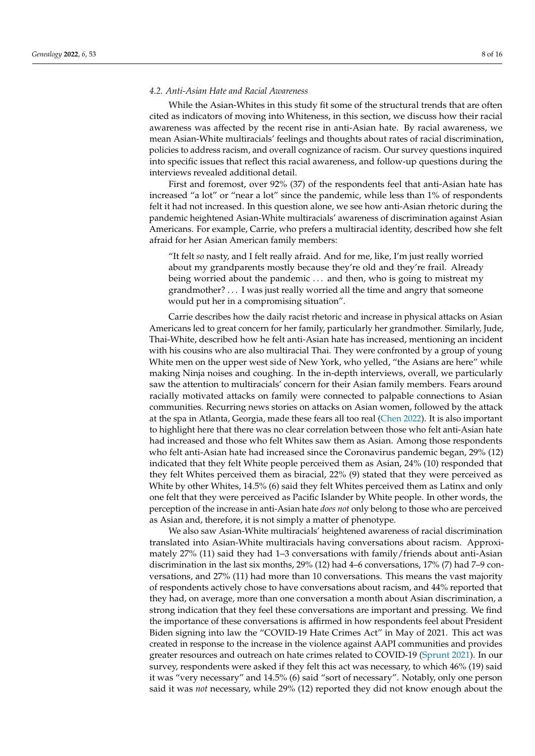## *4.2. Anti-Asian Hate and Racial Awareness*

While the Asian-Whites in this study fit some of the structural trends that are often cited as indicators of moving into Whiteness, in this section, we discuss how their racial awareness was affected by the recent rise in anti-Asian hate. By racial awareness, we mean Asian-White multiracials' feelings and thoughts about rates of racial discrimination, policies to address racism, and overall cognizance of racism. Our survey questions inquired into specific issues that reflect this racial awareness, and follow-up questions during the interviews revealed additional detail.

First and foremost, over 92% (37) of the respondents feel that anti-Asian hate has increased "a lot" or "near a lot" since the pandemic, while less than 1% of respondents felt it had not increased. In this question alone, we see how anti-Asian rhetoric during the pandemic heightened Asian-White multiracials' awareness of discrimination against Asian Americans. For example, Carrie, who prefers a multiracial identity, described how she felt afraid for her Asian American family members:

"It felt *so* nasty, and I felt really afraid. And for me, like, I'm just really worried about my grandparents mostly because they're old and they're frail. Already being worried about the pandemic . . . and then, who is going to mistreat my grandmother? . . . I was just really worried all the time and angry that someone would put her in a compromising situation".

Carrie describes how the daily racist rhetoric and increase in physical attacks on Asian Americans led to great concern for her family, particularly her grandmother. Similarly, Jude, Thai-White, described how he felt anti-Asian hate has increased, mentioning an incident with his cousins who are also multiracial Thai. They were confronted by a group of young White men on the upper west side of New York, who yelled, "the Asians are here" while making Ninja noises and coughing. In the in-depth interviews, overall, we particularly saw the attention to multiracials' concern for their Asian family members. Fears around racially motivated attacks on family were connected to palpable connections to Asian communities. Recurring news stories on attacks on Asian women, followed by the attack at the spa in Atlanta, Georgia, made these fears all too real [\(Chen](#page-13-25) [2022\)](#page-13-25). It is also important to highlight here that there was no clear correlation between those who felt anti-Asian hate had increased and those who felt Whites saw them as Asian. Among those respondents who felt anti-Asian hate had increased since the Coronavirus pandemic began, 29% (12) indicated that they felt White people perceived them as Asian, 24% (10) responded that they felt Whites perceived them as biracial, 22% (9) stated that they were perceived as White by other Whites, 14.5% (6) said they felt Whites perceived them as Latinx and only one felt that they were perceived as Pacific Islander by White people. In other words, the perception of the increase in anti-Asian hate *does not* only belong to those who are perceived as Asian and, therefore, it is not simply a matter of phenotype.

We also saw Asian-White multiracials' heightened awareness of racial discrimination translated into Asian-White multiracials having conversations about racism. Approximately 27% (11) said they had 1–3 conversations with family/friends about anti-Asian discrimination in the last six months, 29% (12) had 4–6 conversations, 17% (7) had 7–9 conversations, and 27% (11) had more than 10 conversations. This means the vast majority of respondents actively chose to have conversations about racism, and 44% reported that they had, on average, more than one conversation a month about Asian discrimination, a strong indication that they feel these conversations are important and pressing. We find the importance of these conversations is affirmed in how respondents feel about President Biden signing into law the "COVID-19 Hate Crimes Act" in May of 2021. This act was created in response to the increase in the violence against AAPI communities and provides greater resources and outreach on hate crimes related to COVID-19 [\(Sprunt](#page-14-23) [2021\)](#page-14-23). In our survey, respondents were asked if they felt this act was necessary, to which 46% (19) said it was "very necessary" and 14.5% (6) said "sort of necessary". Notably, only one person said it was *not* necessary, while 29% (12) reported they did not know enough about the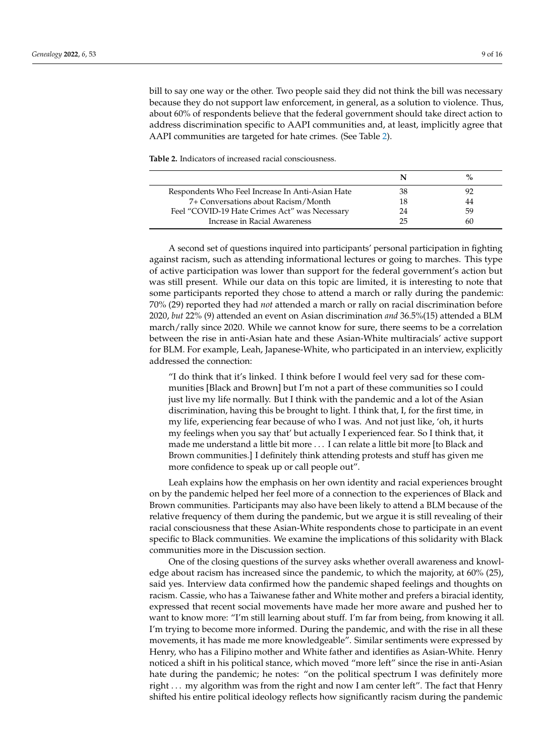bill to say one way or the other. Two people said they did not think the bill was necessary because they do not support law enforcement, in general, as a solution to violence. Thus, about 60% of respondents believe that the federal government should take direct action to address discrimination specific to AAPI communities and, at least, implicitly agree that AAPI communities are targeted for hate crimes. (See Table [2\)](#page-8-0).

<span id="page-8-0"></span>**Table 2.** Indicators of increased racial consciousness.

| Respondents Who Feel Increase In Anti-Asian Hate | 38 | 92 |
|--------------------------------------------------|----|----|
| 7+ Conversations about Racism/Month              |    | 44 |
| Feel "COVID-19 Hate Crimes Act" was Necessary    | 24 | 59 |
| Increase in Racial Awareness                     | つら | 60 |

A second set of questions inquired into participants' personal participation in fighting against racism, such as attending informational lectures or going to marches. This type of active participation was lower than support for the federal government's action but was still present. While our data on this topic are limited, it is interesting to note that some participants reported they chose to attend a march or rally during the pandemic: 70% (29) reported they had *not* attended a march or rally on racial discrimination before 2020, *but* 22% (9) attended an event on Asian discrimination *and* 36.5%(15) attended a BLM march/rally since 2020. While we cannot know for sure, there seems to be a correlation between the rise in anti-Asian hate and these Asian-White multiracials' active support for BLM. For example, Leah, Japanese-White, who participated in an interview, explicitly addressed the connection:

"I do think that it's linked. I think before I would feel very sad for these communities [Black and Brown] but I'm not a part of these communities so I could just live my life normally. But I think with the pandemic and a lot of the Asian discrimination, having this be brought to light. I think that, I, for the first time, in my life, experiencing fear because of who I was. And not just like, 'oh, it hurts my feelings when you say that' but actually I experienced fear. So I think that, it made me understand a little bit more . . . I can relate a little bit more [to Black and Brown communities.] I definitely think attending protests and stuff has given me more confidence to speak up or call people out".

Leah explains how the emphasis on her own identity and racial experiences brought on by the pandemic helped her feel more of a connection to the experiences of Black and Brown communities. Participants may also have been likely to attend a BLM because of the relative frequency of them during the pandemic, but we argue it is still revealing of their racial consciousness that these Asian-White respondents chose to participate in an event specific to Black communities. We examine the implications of this solidarity with Black communities more in the Discussion section.

One of the closing questions of the survey asks whether overall awareness and knowledge about racism has increased since the pandemic, to which the majority, at 60% (25), said yes. Interview data confirmed how the pandemic shaped feelings and thoughts on racism. Cassie, who has a Taiwanese father and White mother and prefers a biracial identity, expressed that recent social movements have made her more aware and pushed her to want to know more: "I'm still learning about stuff. I'm far from being, from knowing it all. I'm trying to become more informed. During the pandemic, and with the rise in all these movements, it has made me more knowledgeable". Similar sentiments were expressed by Henry, who has a Filipino mother and White father and identifies as Asian-White. Henry noticed a shift in his political stance, which moved "more left" since the rise in anti-Asian hate during the pandemic; he notes: "on the political spectrum I was definitely more right . . . my algorithm was from the right and now I am center left". The fact that Henry shifted his entire political ideology reflects how significantly racism during the pandemic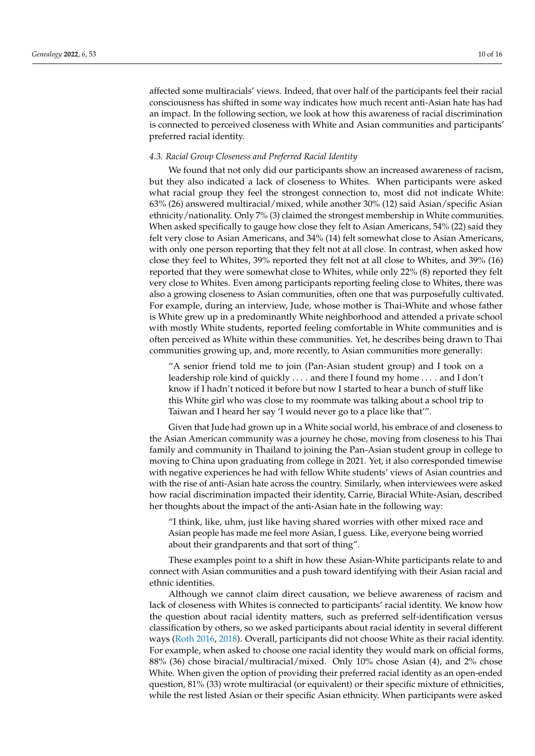affected some multiracials' views. Indeed, that over half of the participants feel their racial consciousness has shifted in some way indicates how much recent anti-Asian hate has had an impact. In the following section, we look at how this awareness of racial discrimination is connected to perceived closeness with White and Asian communities and participants' preferred racial identity.

### *4.3. Racial Group Closeness and Preferred Racial Identity*

We found that not only did our participants show an increased awareness of racism, but they also indicated a lack of closeness to Whites. When participants were asked what racial group they feel the strongest connection to, most did not indicate White: 63% (26) answered multiracial/mixed, while another 30% (12) said Asian/specific Asian ethnicity/nationality. Only 7% (3) claimed the strongest membership in White communities. When asked specifically to gauge how close they felt to Asian Americans, 54% (22) said they felt very close to Asian Americans, and 34% (14) felt somewhat close to Asian Americans, with only one person reporting that they felt not at all close. In contrast, when asked how close they feel to Whites, 39% reported they felt not at all close to Whites, and 39% (16) reported that they were somewhat close to Whites, while only 22% (8) reported they felt very close to Whites. Even among participants reporting feeling close to Whites, there was also a growing closeness to Asian communities, often one that was purposefully cultivated. For example, during an interview, Jude, whose mother is Thai-White and whose father is White grew up in a predominantly White neighborhood and attended a private school with mostly White students, reported feeling comfortable in White communities and is often perceived as White within these communities. Yet, he describes being drawn to Thai communities growing up, and, more recently, to Asian communities more generally:

"A senior friend told me to join (Pan-Asian student group) and I took on a leadership role kind of quickly . . . . and there I found my home . . . . and I don't know if I hadn't noticed it before but now I started to hear a bunch of stuff like this White girl who was close to my roommate was talking about a school trip to Taiwan and I heard her say 'I would never go to a place like that'".

Given that Jude had grown up in a White social world, his embrace of and closeness to the Asian American community was a journey he chose, moving from closeness to his Thai family and community in Thailand to joining the Pan-Asian student group in college to moving to China upon graduating from college in 2021. Yet, it also corresponded timewise with negative experiences he had with fellow White students' views of Asian countries and with the rise of anti-Asian hate across the country. Similarly, when interviewees were asked how racial discrimination impacted their identity, Carrie, Biracial White-Asian, described her thoughts about the impact of the anti-Asian hate in the following way:

"I think, like, uhm, just like having shared worries with other mixed race and Asian people has made me feel more Asian, I guess. Like, everyone being worried about their grandparents and that sort of thing".

These examples point to a shift in how these Asian-White participants relate to and connect with Asian communities and a push toward identifying with their Asian racial and ethnic identities.

Although we cannot claim direct causation, we believe awareness of racism and lack of closeness with Whites is connected to participants' racial identity. We know how the question about racial identity matters, such as preferred self-identification versus classification by others, so we asked participants about racial identity in several different ways [\(Roth](#page-14-22) [2016,](#page-14-22) [2018\)](#page-14-24). Overall, participants did not choose White as their racial identity. For example, when asked to choose one racial identity they would mark on official forms, 88% (36) chose biracial/multiracial/mixed. Only 10% chose Asian (4), and 2% chose White. When given the option of providing their preferred racial identity as an open-ended question, 81% (33) wrote multiracial (or equivalent) or their specific mixture of ethnicities, while the rest listed Asian or their specific Asian ethnicity. When participants were asked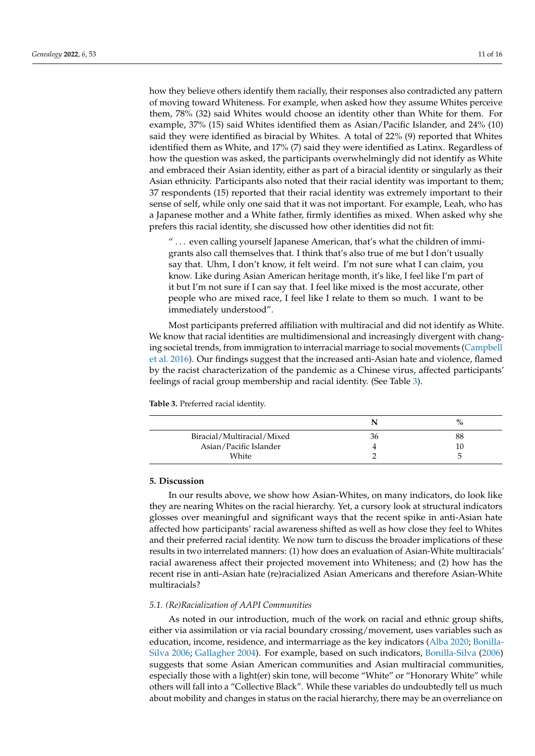how they believe others identify them racially, their responses also contradicted any pattern of moving toward Whiteness. For example, when asked how they assume Whites perceive them, 78% (32) said Whites would choose an identity other than White for them. For example, 37% (15) said Whites identified them as Asian/Pacific Islander, and 24% (10) said they were identified as biracial by Whites. A total of  $22\%$  (9) reported that Whites identified them as White, and 17% (7) said they were identified as Latinx. Regardless of how the question was asked, the participants overwhelmingly did not identify as White and embraced their Asian identity, either as part of a biracial identity or singularly as their Asian ethnicity. Participants also noted that their racial identity was important to them; 37 respondents (15) reported that their racial identity was extremely important to their sense of self, while only one said that it was not important. For example, Leah, who has a Japanese mother and a White father, firmly identifies as mixed. When asked why she prefers this racial identity, she discussed how other identities did not fit:

 $\ldots$  even calling yourself Japanese American, that's what the children of immigrants also call themselves that. I think that's also true of me but I don't usually say that. Uhm, I don't know, it felt weird. I'm not sure what I can claim, you know. Like during Asian American heritage month, it's like, I feel like I'm part of it but I'm not sure if I can say that. I feel like mixed is the most accurate, other people who are mixed race, I feel like I relate to them so much. I want to be immediately understood".

Most participants preferred affiliation with multiracial and did not identify as White. We know that racial identities are multidimensional and increasingly divergent with changing societal trends, from immigration to interracial marriage to social movements [\(Campbell](#page-13-26) [et al.](#page-13-26) [2016\)](#page-13-26). Our findings suggest that the increased anti-Asian hate and violence, flamed by the racist characterization of the pandemic as a Chinese virus, affected participants' feelings of racial group membership and racial identity. (See Table [3\)](#page-10-0).

#### <span id="page-10-0"></span>**Table 3.** Preferred racial identity.

|                            | N  | $\%$ |
|----------------------------|----|------|
| Biracial/Multiracial/Mixed | 36 | 88   |
| Asian/Pacific Islander     |    | 10   |
| White                      |    |      |

### **5. Discussion**

In our results above, we show how Asian-Whites, on many indicators, do look like they are nearing Whites on the racial hierarchy. Yet, a cursory look at structural indicators glosses over meaningful and significant ways that the recent spike in anti-Asian hate affected how participants' racial awareness shifted as well as how close they feel to Whites and their preferred racial identity. We now turn to discuss the broader implications of these results in two interrelated manners: (1) how does an evaluation of Asian-White multiracials' racial awareness affect their projected movement into Whiteness; and (2) how has the recent rise in anti-Asian hate (re)racialized Asian Americans and therefore Asian-White multiracials?

#### *5.1. (Re)Racialization of AAPI Communities*

As noted in our introduction, much of the work on racial and ethnic group shifts, either via assimilation or via racial boundary crossing/movement, uses variables such as education, income, residence, and intermarriage as the key indicators [\(Alba](#page-12-1) [2020;](#page-12-1) [Bonilla-](#page-12-2)[Silva](#page-12-2) [2006;](#page-12-2) [Gallagher](#page-13-3) [2004\)](#page-13-3). For example, based on such indicators, [Bonilla-Silva](#page-12-2) [\(2006\)](#page-12-2) suggests that some Asian American communities and Asian multiracial communities, especially those with a light(er) skin tone, will become "White" or "Honorary White" while others will fall into a "Collective Black". While these variables do undoubtedly tell us much about mobility and changes in status on the racial hierarchy, there may be an overreliance on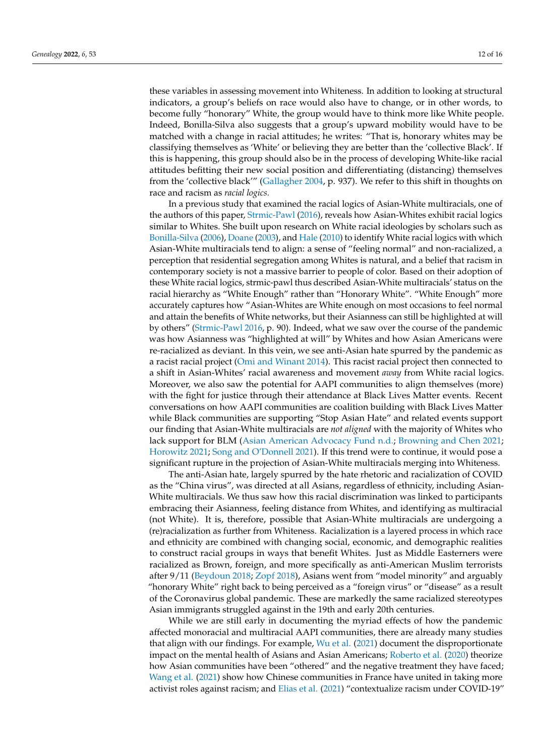these variables in assessing movement into Whiteness. In addition to looking at structural indicators, a group's beliefs on race would also have to change, or in other words, to become fully "honorary" White, the group would have to think more like White people. Indeed, Bonilla-Silva also suggests that a group's upward mobility would have to be matched with a change in racial attitudes; he writes: "That is, honorary whites may be classifying themselves as 'White' or believing they are better than the 'collective Black'. If this is happening, this group should also be in the process of developing White-like racial attitudes befitting their new social position and differentiating (distancing) themselves from the 'collective black'" [\(Gallagher](#page-13-3) [2004,](#page-13-3) p. 937). We refer to this shift in thoughts on race and racism as *racial logics.*

In a previous study that examined the racial logics of Asian-White multiracials, one of the authors of this paper, [Strmic-Pawl](#page-14-2) [\(2016\)](#page-14-2), reveals how Asian-Whites exhibit racial logics similar to Whites. She built upon research on White racial ideologies by scholars such as [Bonilla-Silva](#page-12-2) [\(2006\)](#page-12-2), [Doane](#page-13-27) [\(2003\)](#page-13-27), and [Hale](#page-13-28) [\(2010\)](#page-13-28) to identify White racial logics with which Asian-White multiracials tend to align: a sense of "feeling normal" and non-racialized, a perception that residential segregation among Whites is natural, and a belief that racism in contemporary society is not a massive barrier to people of color. Based on their adoption of these White racial logics, strmic-pawl thus described Asian-White multiracials' status on the racial hierarchy as "White Enough" rather than "Honorary White". "White Enough" more accurately captures how "Asian-Whites are White enough on most occasions to feel normal and attain the benefits of White networks, but their Asianness can still be highlighted at will by others" [\(Strmic-Pawl](#page-14-2) [2016,](#page-14-2) p. 90). Indeed, what we saw over the course of the pandemic was how Asianness was "highlighted at will" by Whites and how Asian Americans were re-racialized as deviant. In this vein, we see anti-Asian hate spurred by the pandemic as a racist racial project [\(Omi and Winant](#page-14-25) [2014\)](#page-14-25). This racist racial project then connected to a shift in Asian-Whites' racial awareness and movement *away* from White racial logics. Moreover, we also saw the potential for AAPI communities to align themselves (more) with the fight for justice through their attendance at Black Lives Matter events. Recent conversations on how AAPI communities are coalition building with Black Lives Matter while Black communities are supporting "Stop Asian Hate" and related events support our finding that Asian-White multiracials are *not aligned* with the majority of Whites who lack support for BLM [\(Asian American Advocacy Fund](#page-12-4) [n.d.;](#page-12-4) [Browning and Chen](#page-12-5) [2021;](#page-12-5) [Horowitz](#page-13-29) [2021;](#page-13-29) [Song and O'Donnell](#page-14-26) [2021\)](#page-14-26). If this trend were to continue, it would pose a significant rupture in the projection of Asian-White multiracials merging into Whiteness.

The anti-Asian hate, largely spurred by the hate rhetoric and racialization of COVID as the "China virus", was directed at all Asians, regardless of ethnicity, including Asian-White multiracials. We thus saw how this racial discrimination was linked to participants embracing their Asianness, feeling distance from Whites, and identifying as multiracial (not White). It is, therefore, possible that Asian-White multiracials are undergoing a (re)racialization as further from Whiteness. Racialization is a layered process in which race and ethnicity are combined with changing social, economic, and demographic realities to construct racial groups in ways that benefit Whites. Just as Middle Easterners were racialized as Brown, foreign, and more specifically as anti-American Muslim terrorists after 9/11 [\(Beydoun](#page-12-6) [2018;](#page-12-6) [Zopf](#page-15-4) [2018\)](#page-15-4), Asians went from "model minority" and arguably "honorary White" right back to being perceived as a "foreign virus" or "disease" as a result of the Coronavirus global pandemic. These are markedly the same racialized stereotypes Asian immigrants struggled against in the 19th and early 20th centuries.

While we are still early in documenting the myriad effects of how the pandemic affected monoracial and multiracial AAPI communities, there are already many studies that align with our findings. For example,  $Wu$  et al. [\(2021\)](#page-15-5) document the disproportionate impact on the mental health of Asians and Asian Americans; [Roberto et al.](#page-14-27) [\(2020\)](#page-14-27) theorize how Asian communities have been "othered" and the negative treatment they have faced; [Wang et al.](#page-14-28) [\(2021\)](#page-14-28) show how Chinese communities in France have united in taking more activist roles against racism; and [Elias et al.](#page-13-30) [\(2021\)](#page-13-30) "contextualize racism under COVID-19"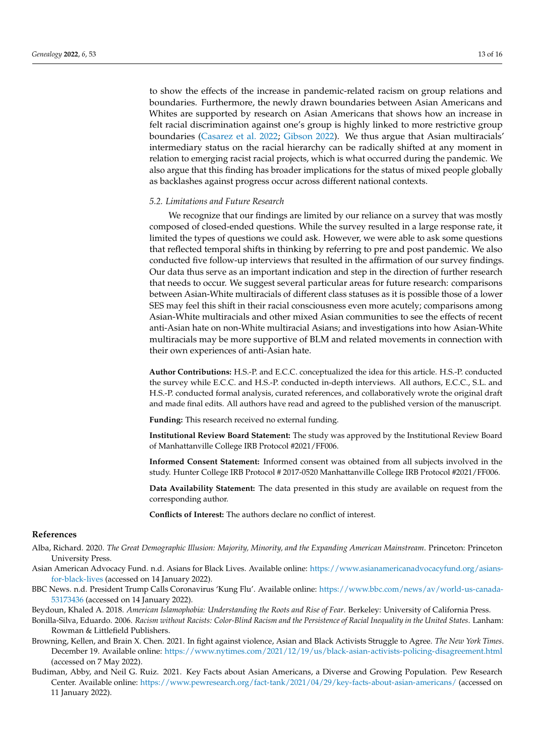to show the effects of the increase in pandemic-related racism on group relations and boundaries. Furthermore, the newly drawn boundaries between Asian Americans and Whites are supported by research on Asian Americans that shows how an increase in felt racial discrimination against one's group is highly linked to more restrictive group boundaries [\(Casarez et al.](#page-13-31) [2022;](#page-13-31) [Gibson](#page-13-32) [2022\)](#page-13-32). We thus argue that Asian multiracials' intermediary status on the racial hierarchy can be radically shifted at any moment in relation to emerging racist racial projects, which is what occurred during the pandemic. We also argue that this finding has broader implications for the status of mixed people globally as backlashes against progress occur across different national contexts.

## *5.2. Limitations and Future Research*

We recognize that our findings are limited by our reliance on a survey that was mostly composed of closed-ended questions. While the survey resulted in a large response rate, it limited the types of questions we could ask. However, we were able to ask some questions that reflected temporal shifts in thinking by referring to pre and post pandemic. We also conducted five follow-up interviews that resulted in the affirmation of our survey findings. Our data thus serve as an important indication and step in the direction of further research that needs to occur. We suggest several particular areas for future research: comparisons between Asian-White multiracials of different class statuses as it is possible those of a lower SES may feel this shift in their racial consciousness even more acutely; comparisons among Asian-White multiracials and other mixed Asian communities to see the effects of recent anti-Asian hate on non-White multiracial Asians; and investigations into how Asian-White multiracials may be more supportive of BLM and related movements in connection with their own experiences of anti-Asian hate.

**Author Contributions:** H.S.-P. and E.C.C. conceptualized the idea for this article. H.S.-P. conducted the survey while E.C.C. and H.S.-P. conducted in-depth interviews. All authors, E.C.C., S.L. and H.S.-P. conducted formal analysis, curated references, and collaboratively wrote the original draft and made final edits. All authors have read and agreed to the published version of the manuscript.

**Funding:** This research received no external funding.

**Institutional Review Board Statement:** The study was approved by the Institutional Review Board of Manhattanville College IRB Protocol #2021/FF006.

**Informed Consent Statement:** Informed consent was obtained from all subjects involved in the study. Hunter College IRB Protocol # 2017-0520 Manhattanville College IRB Protocol #2021/FF006.

**Data Availability Statement:** The data presented in this study are available on request from the corresponding author.

**Conflicts of Interest:** The authors declare no conflict of interest.

## **References**

- <span id="page-12-1"></span>Alba, Richard. 2020. *The Great Demographic Illusion: Majority, Minority, and the Expanding American Mainstream*. Princeton: Princeton University Press.
- <span id="page-12-4"></span>Asian American Advocacy Fund. n.d. Asians for Black Lives. Available online: [https://www.asianamericanadvocacyfund.org/asians](https://www.asianamericanadvocacyfund.org/asians-for-black-lives)[for-black-lives](https://www.asianamericanadvocacyfund.org/asians-for-black-lives) (accessed on 14 January 2022).
- <span id="page-12-0"></span>BBC News. n.d. President Trump Calls Coronavirus 'Kung Flu'. Available online: [https://www.bbc.com/news/av/world-us-canada-](https://www.bbc.com/news/av/world-us-canada-53173436)[53173436](https://www.bbc.com/news/av/world-us-canada-53173436) (accessed on 14 January 2022).

<span id="page-12-6"></span>Beydoun, Khaled A. 2018. *American Islamophobia: Understanding the Roots and Rise of Fear*. Berkeley: University of California Press.

- <span id="page-12-2"></span>Bonilla-Silva, Eduardo. 2006. *Racism without Racists: Color-Blind Racism and the Persistence of Racial Inequality in the United States*. Lanham: Rowman & Littlefield Publishers.
- <span id="page-12-5"></span>Browning, Kellen, and Brain X. Chen. 2021. In fight against violence, Asian and Black Activists Struggle to Agree. *The New York Times*. December 19. Available online: <https://www.nytimes.com/2021/12/19/us/black-asian-activists-policing-disagreement.html> (accessed on 7 May 2022).
- <span id="page-12-3"></span>Budiman, Abby, and Neil G. Ruiz. 2021. Key Facts about Asian Americans, a Diverse and Growing Population. Pew Research Center. Available online: <https://www.pewresearch.org/fact-tank/2021/04/29/key-facts-about-asian-americans/> (accessed on 11 January 2022).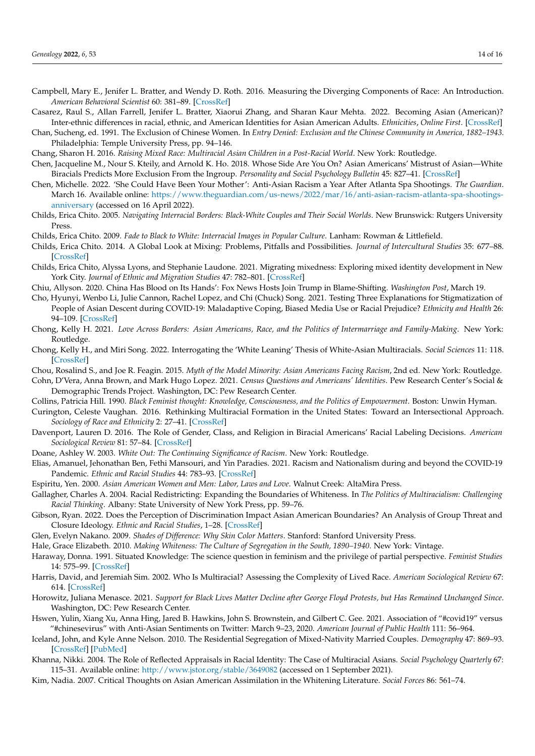- <span id="page-13-26"></span>Campbell, Mary E., Jenifer L. Bratter, and Wendy D. Roth. 2016. Measuring the Diverging Components of Race: An Introduction. *American Behavioral Scientist* 60: 381–89. [\[CrossRef\]](http://doi.org/10.1177/0002764215613381)
- <span id="page-13-31"></span>Casarez, Raul S., Allan Farrell, Jenifer L. Bratter, Xiaorui Zhang, and Sharan Kaur Mehta. 2022. Becoming Asian (American)? Inter-ethnic differences in racial, ethnic, and American Identities for Asian American Adults. *Ethnicities*, *Online First*. [\[CrossRef\]](http://doi.org/10.1177/14687968221092769)
- <span id="page-13-5"></span>Chan, Sucheng, ed. 1991. The Exclusion of Chinese Women. In *Entry Denied: Exclusion and the Chinese Community in America, 1882–1943*. Philadelphia: Temple University Press, pp. 94–146.

<span id="page-13-9"></span>Chang, Sharon H. 2016. *Raising Mixed Race: Multiracial Asian Children in a Post-Racial World*. New York: Routledge.

- <span id="page-13-15"></span>Chen, Jacqueline M., Nour S. Kteily, and Arnold K. Ho. 2018. Whose Side Are You On? Asian Americans' Mistrust of Asian—White Biracials Predicts More Exclusion From the Ingroup. *Personality and Social Psychology Bulletin* 45: 827–41. [\[CrossRef\]](http://doi.org/10.1177/0146167218798032)
- <span id="page-13-25"></span>Chen, Michelle. 2022. 'She Could Have Been Your Mother': Anti-Asian Racism a Year After Atlanta Spa Shootings. *The Guardian*. March 16. Available online: [https://www.theguardian.com/us-news/2022/mar/16/anti-asian-racism-atlanta-spa-shootings](https://www.theguardian.com/us-news/2022/mar/16/anti-asian-racism-atlanta-spa-shootings-anniversary)[anniversary](https://www.theguardian.com/us-news/2022/mar/16/anti-asian-racism-atlanta-spa-shootings-anniversary) (accessed on 16 April 2022).
- <span id="page-13-17"></span>Childs, Erica Chito. 2005. *Navigating Interracial Borders: Black-White Couples and Their Social Worlds*. New Brunswick: Rutgers University Press.
- <span id="page-13-6"></span>Childs, Erica Chito. 2009. *Fade to Black to White: Interracial Images in Popular Culture*. Lanham: Rowman & Littlefield.
- <span id="page-13-18"></span>Childs, Erica Chito. 2014. A Global Look at Mixing: Problems, Pitfalls and Possibilities. *Journal of Intercultural Studies* 35: 677–88. [\[CrossRef\]](http://doi.org/10.1080/07256868.2014.968305)
- <span id="page-13-13"></span>Childs, Erica Chito, Alyssa Lyons, and Stephanie Laudone. 2021. Migrating mixedness: Exploring mixed identity development in New York City. *Journal of Ethnic and Migration Studies* 47: 782–801. [\[CrossRef\]](http://doi.org/10.1080/1369183X.2019.1654153)
- <span id="page-13-1"></span>Chiu, Allyson. 2020. China Has Blood on Its Hands': Fox News Hosts Join Trump in Blame-Shifting. *Washington Post*, March 19.
- <span id="page-13-0"></span>Cho, Hyunyi, Wenbo Li, Julie Cannon, Rachel Lopez, and Chi (Chuck) Song. 2021. Testing Three Explanations for Stigmatization of People of Asian Descent during COVID-19: Maladaptive Coping, Biased Media Use or Racial Prejudice? *Ethnicity and Health* 26: 94–109. [\[CrossRef\]](http://doi.org/10.1080/13557858.2020.1830035)
- <span id="page-13-10"></span>Chong, Kelly H. 2021. *Love Across Borders: Asian Americans, Race, and the Politics of Intermarriage and Family-Making*. New York: Routledge.
- <span id="page-13-14"></span>Chong, Kelly H., and Miri Song. 2022. Interrogating the 'White Leaning' Thesis of White-Asian Multiracials. *Social Sciences* 11: 118. [\[CrossRef\]](http://doi.org/10.3390/socsci11030118)
- <span id="page-13-8"></span>Chou, Rosalind S., and Joe R. Feagin. 2015. *Myth of the Model Minority: Asian Americans Facing Racism*, 2nd ed. New York: Routledge.
- <span id="page-13-19"></span>Cohn, D'Vera, Anna Brown, and Mark Hugo Lopez. 2021. *Census Questions and Americans' Identities*. Pew Research Center's Social & Demographic Trends Project. Washington, DC: Pew Research Center.
- <span id="page-13-21"></span>Collins, Patricia Hill. 1990. *Black Feminist thought: Knowledge, Consciousness, and the Politics of Empowerment*. Boston: Unwin Hyman.
- <span id="page-13-7"></span>Curington, Celeste Vaughan. 2016. Rethinking Multiracial Formation in the United States: Toward an Intersectional Approach. *Sociology of Race and Ethnicity* 2: 27–41. [\[CrossRef\]](http://doi.org/10.1177/2332649215591864)
- <span id="page-13-20"></span>Davenport, Lauren D. 2016. The Role of Gender, Class, and Religion in Biracial Americans' Racial Labeling Decisions. *American Sociological Review* 81: 57–84. [\[CrossRef\]](http://doi.org/10.1177/0003122415623286)
- <span id="page-13-27"></span>Doane, Ashley W. 2003. *White Out: The Continuing Significance of Racism*. New York: Routledge.
- <span id="page-13-30"></span>Elias, Amanuel, Jehonathan Ben, Fethi Mansouri, and Yin Paradies. 2021. Racism and Nationalism during and beyond the COVID-19 Pandemic. *Ethnic and Racial Studies* 44: 783–93. [\[CrossRef\]](http://doi.org/10.1080/01419870.2020.1851382)

<span id="page-13-4"></span>Espiritu, Yen. 2000. *Asian American Women and Men: Labor, Laws and Love*. Walnut Creek: AltaMira Press.

- <span id="page-13-3"></span>Gallagher, Charles A. 2004. Racial Redistricting: Expanding the Boundaries of Whiteness. In *The Politics of Multiracialism: Challenging Racial Thinking*. Albany: State University of New York Press, pp. 59–76.
- <span id="page-13-32"></span>Gibson, Ryan. 2022. Does the Perception of Discrimination Impact Asian American Boundaries? An Analysis of Group Threat and Closure Ideology. *Ethnic and Racial Studies*, 1–28. [\[CrossRef\]](http://doi.org/10.1080/01419870.2021.2015417)
- <span id="page-13-23"></span>Glen, Evelyn Nakano. 2009. *Shades of Difference: Why Skin Color Matters*. Stanford: Stanford University Press.
- <span id="page-13-28"></span>Hale, Grace Elizabeth. 2010. *Making Whiteness: The Culture of Segregation in the South, 1890–1940*. New York: Vintage.
- <span id="page-13-22"></span>Haraway, Donna. 1991. Situated Knowledge: The science question in feminism and the privilege of partial perspective. *Feminist Studies* 14: 575–99. [\[CrossRef\]](http://doi.org/10.2307/3178066)
- <span id="page-13-12"></span>Harris, David, and Jeremiah Sim. 2002. Who Is Multiracial? Assessing the Complexity of Lived Race. *American Sociological Review* 67: 614. [\[CrossRef\]](http://doi.org/10.2307/3088948)
- <span id="page-13-29"></span>Horowitz, Juliana Menasce. 2021. *Support for Black Lives Matter Decline after George Floyd Protests, but Has Remained Unchanged Since*. Washington, DC: Pew Research Center.
- <span id="page-13-2"></span>Hswen, Yulin, Xiang Xu, Anna Hing, Jared B. Hawkins, John S. Brownstein, and Gilbert C. Gee. 2021. Association of "#covid19" versus "#chinesevirus" with Anti-Asian Sentiments on Twitter: March 9–23, 2020. *American Journal of Public Health* 111: 56–964.
- <span id="page-13-24"></span>Iceland, John, and Kyle Anne Nelson. 2010. The Residential Segregation of Mixed-Nativity Married Couples. *Demography* 47: 869–93. [\[CrossRef\]](http://doi.org/10.1007/BF03213731) [\[PubMed\]](http://www.ncbi.nlm.nih.gov/pubmed/21308562)
- <span id="page-13-11"></span>Khanna, Nikki. 2004. The Role of Reflected Appraisals in Racial Identity: The Case of Multiracial Asians. *Social Psychology Quarterly* 67: 115–31. Available online: <http://www.jstor.org/stable/3649082> (accessed on 1 September 2021).
- <span id="page-13-16"></span>Kim, Nadia. 2007. Critical Thoughts on Asian American Assimilation in the Whitening Literature. *Social Forces* 86: 561–74.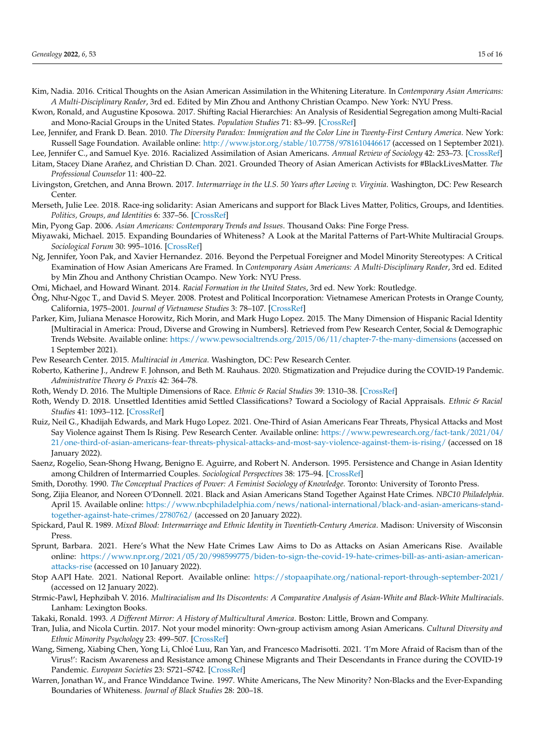- <span id="page-14-20"></span>Kim, Nadia. 2016. Critical Thoughts on the Asian American Assimilation in the Whitening Literature. In *Contemporary Asian Americans: A Multi-Disciplinary Reader*, 3rd ed. Edited by Min Zhou and Anthony Christian Ocampo. New York: NYU Press.
- <span id="page-14-15"></span>Kwon, Ronald, and Augustine Kposowa. 2017. Shifting Racial Hierarchies: An Analysis of Residential Segregation among Multi-Racial and Mono-Racial Groups in the United States. *Population Studies* 71: 83–99. [\[CrossRef\]](http://doi.org/10.1080/00324728.2016.1254813)
- <span id="page-14-16"></span>Lee, Jennifer, and Frank D. Bean. 2010. *The Diversity Paradox: Immigration and the Color Line in Twenty-First Century America*. New York: Russell Sage Foundation. Available online: <http://www.jstor.org/stable/10.7758/9781610446617> (accessed on 1 September 2021).
- <span id="page-14-4"></span>Lee, Jennifer C., and Samuel Kye. 2016. Racialized Assimilation of Asian Americans. *Annual Review of Sociology* 42: 253–73. [\[CrossRef\]](http://doi.org/10.1146/annurev-soc-081715-074310) Litam, Stacey Diane Arañez, and Christian D. Chan. 2021. Grounded Theory of Asian American Activists for #BlackLivesMatter. *The*
- <span id="page-14-8"></span>*Professional Counselor* 11: 400–22.
- <span id="page-14-14"></span>Livingston, Gretchen, and Anna Brown. 2017. *Intermarriage in the U.S. 50 Years after Loving v. Virginia*. Washington, DC: Pew Research Center.
- <span id="page-14-9"></span>Merseth, Julie Lee. 2018. Race-ing solidarity: Asian Americans and support for Black Lives Matter, Politics, Groups, and Identities. *Politics, Groups, and Identities* 6: 337–56. [\[CrossRef\]](http://doi.org/10.1080/21565503.2018.1494015)
- <span id="page-14-11"></span>Min, Pyong Gap. 2006. *Asian Americans: Contemporary Trends and Issues*. Thousand Oaks: Pine Forge Press.
- <span id="page-14-17"></span>Miyawaki, Michael. 2015. Expanding Boundaries of Whiteness? A Look at the Marital Patterns of Part-White Multiracial Groups. *Sociological Forum* 30: 995–1016. [\[CrossRef\]](http://doi.org/10.1111/socf.12205)
- <span id="page-14-5"></span>Ng, Jennifer, Yoon Pak, and Xavier Hernandez. 2016. Beyond the Perpetual Foreigner and Model Minority Stereotypes: A Critical Examination of How Asian Americans Are Framed. In *Contemporary Asian Americans: A Multi-Disciplinary Reader*, 3rd ed. Edited by Min Zhou and Anthony Christian Ocampo. New York: NYU Press.
- <span id="page-14-25"></span>Omi, Michael, and Howard Winant. 2014. *Racial Formation in the United States*, 3rd ed. New York: Routledge.
- <span id="page-14-6"></span>Ông, Như-Ngọc T., and David S. Meyer. 2008. Protest and Political Incorporation: Vietnamese American Protests in Orange County, California, 1975–2001. *Journal of Vietnamese Studies* 3: 78–107. [\[CrossRef\]](http://doi.org/10.1525/vs.2008.3.1.78)
- <span id="page-14-19"></span>Parker, Kim, Juliana Menasce Horowitz, Rich Morin, and Mark Hugo Lopez. 2015. The Many Dimension of Hispanic Racial Identity [Multiracial in America: Proud, Diverse and Growing in Numbers]. Retrieved from Pew Research Center, Social & Demographic Trends Website. Available online: <https://www.pewsocialtrends.org/2015/06/11/chapter-7-the-many-dimensions> (accessed on 1 September 2021).
- <span id="page-14-12"></span>Pew Research Center. 2015. *Multiracial in America*. Washington, DC: Pew Research Center.
- <span id="page-14-27"></span>Roberto, Katherine J., Andrew F. Johnson, and Beth M. Rauhaus. 2020. Stigmatization and Prejudice during the COVID-19 Pandemic. *Administrative Theory & Praxis* 42: 364–78.
- <span id="page-14-22"></span>Roth, Wendy D. 2016. The Multiple Dimensions of Race. *Ethnic & Racial Studies* 39: 1310–38. [\[CrossRef\]](http://doi.org/10.1080/01419870.2016.1140793)
- <span id="page-14-24"></span>Roth, Wendy D. 2018. Unsettled Identities amid Settled Classifications? Toward a Sociology of Racial Appraisals. *Ethnic & Racial Studies* 41: 1093–112. [\[CrossRef\]](http://doi.org/10.1080/01419870.2018.1417616)
- <span id="page-14-1"></span>Ruiz, Neil G., Khadijah Edwards, and Mark Hugo Lopez. 2021. One-Third of Asian Americans Fear Threats, Physical Attacks and Most Say Violence against Them Is Rising. Pew Research Center. Available online: [https://www.pewresearch.org/fact-tank/2021/04/](https://www.pewresearch.org/fact-tank/2021/04/21/one-third-of-asian-americans-fear-threats-physical-attacks-and-most-say-violence-against-them-is-rising/) [21/one-third-of-asian-americans-fear-threats-physical-attacks-and-most-say-violence-against-them-is-rising/](https://www.pewresearch.org/fact-tank/2021/04/21/one-third-of-asian-americans-fear-threats-physical-attacks-and-most-say-violence-against-them-is-rising/) (accessed on 18 January 2022).
- <span id="page-14-13"></span>Saenz, Rogelio, Sean-Shong Hwang, Benigno E. Aguirre, and Robert N. Anderson. 1995. Persistence and Change in Asian Identity among Children of Intermarried Couples. *Sociological Perspectives* 38: 175–94. [\[CrossRef\]](http://doi.org/10.2307/1389289)
- <span id="page-14-21"></span>Smith, Dorothy. 1990. *The Conceptual Practices of Power: A Feminist Sociology of Knowledge*. Toronto: University of Toronto Press.
- <span id="page-14-26"></span>Song, Zijia Eleanor, and Noreen O'Donnell. 2021. Black and Asian Americans Stand Together Against Hate Crimes. *NBC10 Philadelphia*. April 15. Available online: [https://www.nbcphiladelphia.com/news/national-international/black-and-asian-americans-stand](https://www.nbcphiladelphia.com/news/national-international/black-and-asian-americans-stand-together-against-hate-crimes/2780762/)[together-against-hate-crimes/2780762/](https://www.nbcphiladelphia.com/news/national-international/black-and-asian-americans-stand-together-against-hate-crimes/2780762/) (accessed on 20 January 2022).
- <span id="page-14-10"></span>Spickard, Paul R. 1989. *Mixed Blood: Intermarriage and Ethnic Identity in Twentieth-Century America*. Madison: University of Wisconsin Press.
- <span id="page-14-23"></span>Sprunt, Barbara. 2021. Here's What the New Hate Crimes Law Aims to Do as Attacks on Asian Americans Rise. Available online: [https://www.npr.org/2021/05/20/998599775/biden-to-sign-the-covid-19-hate-crimes-bill-as-anti-asian-american](https://www.npr.org/2021/05/20/998599775/biden-to-sign-the-covid-19-hate-crimes-bill-as-anti-asian-american-attacks-rise)[attacks-rise](https://www.npr.org/2021/05/20/998599775/biden-to-sign-the-covid-19-hate-crimes-bill-as-anti-asian-american-attacks-rise) (accessed on 10 January 2022).
- <span id="page-14-0"></span>Stop AAPI Hate. 2021. National Report. Available online: <https://stopaapihate.org/national-report-through-september-2021/> (accessed on 12 January 2022).
- <span id="page-14-2"></span>Strmic-Pawl, Hephzibah V. 2016. *Multiracialism and Its Discontents: A Comparative Analysis of Asian-White and Black-White Multiracials*. Lanham: Lexington Books.
- <span id="page-14-3"></span>Takaki, Ronald. 1993. *A Different Mirror: A History of Multicultural America*. Boston: Little, Brown and Company.
- <span id="page-14-7"></span>Tran, Julia, and Nicola Curtin. 2017. Not your model minority: Own-group activism among Asian Americans. *Cultural Diversity and Ethnic Minority Psychology* 23: 499–507. [\[CrossRef\]](http://doi.org/10.1037/cdp0000145)
- <span id="page-14-28"></span>Wang, Simeng, Xiabing Chen, Yong Li, Chloé Luu, Ran Yan, and Francesco Madrisotti. 2021. 'I'm More Afraid of Racism than of the Virus!': Racism Awareness and Resistance among Chinese Migrants and Their Descendants in France during the COVID-19 Pandemic. *European Societies* 23: S721–S742. [\[CrossRef\]](http://doi.org/10.1080/14616696.2020.1836384)
- <span id="page-14-18"></span>Warren, Jonathan W., and France Winddance Twine. 1997. White Americans, The New Minority? Non-Blacks and the Ever-Expanding Boundaries of Whiteness. *Journal of Black Studies* 28: 200–18.